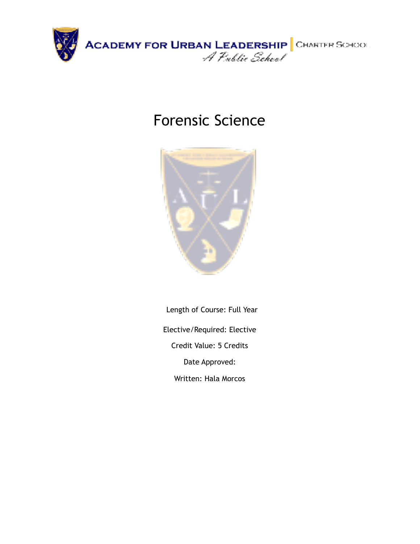

# Forensic Science



Length of Course: Full Year Elective/Required: Elective Credit Value: 5 Credits Date Approved: Written: Hala Morcos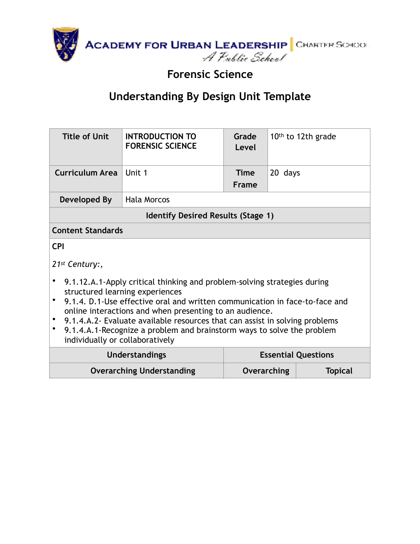

## **Forensic Science**

| <b>Title of Unit</b>                                                                                                                                                                                                                                     | <b>INTRODUCTION TO</b><br><b>FORENSIC SCIENCE</b>   | Grade<br>Level              |         | 10th to 12th grade |  |
|----------------------------------------------------------------------------------------------------------------------------------------------------------------------------------------------------------------------------------------------------------|-----------------------------------------------------|-----------------------------|---------|--------------------|--|
| <b>Curriculum Area</b>                                                                                                                                                                                                                                   | Unit 1                                              | <b>Time</b><br><b>Frame</b> | 20 days |                    |  |
| Developed By                                                                                                                                                                                                                                             | <b>Hala Morcos</b>                                  |                             |         |                    |  |
|                                                                                                                                                                                                                                                          | <b>Identify Desired Results (Stage 1)</b>           |                             |         |                    |  |
| <b>Content Standards</b>                                                                                                                                                                                                                                 |                                                     |                             |         |                    |  |
| <b>CPI</b>                                                                                                                                                                                                                                               |                                                     |                             |         |                    |  |
| $21st$ Century:,                                                                                                                                                                                                                                         |                                                     |                             |         |                    |  |
| 9.1.12.A.1-Apply critical thinking and problem-solving strategies during                                                                                                                                                                                 |                                                     |                             |         |                    |  |
| structured learning experiences<br>9.1.4. D.1-Use effective oral and written communication in face-to-face and<br>online interactions and when presenting to an audience.<br>9.1.4.A.2- Evaluate available resources that can assist in solving problems |                                                     |                             |         |                    |  |
| 9.1.4.A.1-Recognize a problem and brainstorm ways to solve the problem<br>٠<br>individually or collaboratively                                                                                                                                           |                                                     |                             |         |                    |  |
|                                                                                                                                                                                                                                                          | <b>Essential Questions</b><br><b>Understandings</b> |                             |         |                    |  |
|                                                                                                                                                                                                                                                          | <b>Overarching Understanding</b>                    | <b>Overarching</b>          |         | <b>Topical</b>     |  |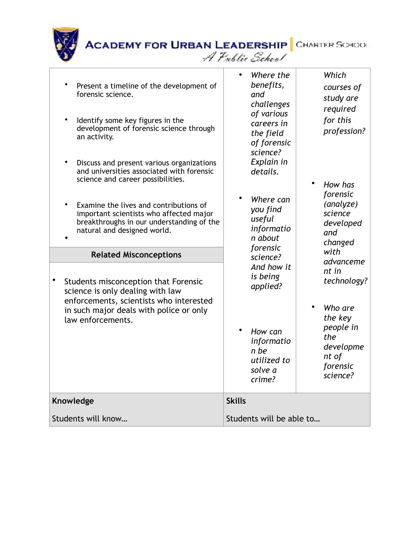| Present a timeline of the development of<br>forensic science.<br>Identify some key figures in the<br>$\bullet$<br>development of forensic science through<br>an activity.<br>Discuss and present various organizations<br>$\bullet$<br>and universities associated with forensic<br>science and career possibilities.<br>Examine the lives and contributions of<br>important scientists who affected major<br>breakthroughs in our understanding of the<br>natural and designed world.<br><b>Related Misconceptions</b> | Where the<br>benefits,<br>and<br>challenges<br>of various<br>careers in<br>the field<br>of forensic<br>science?<br>Explain in<br>details.<br>Where can<br>you find<br>useful<br>informatio<br>n about<br>forensic | Which<br>courses of<br>study are<br>required<br>for this<br>profession?<br>How has<br>forensic<br>(analyze)<br>science<br>developed<br>and<br>changed<br>with |
|-------------------------------------------------------------------------------------------------------------------------------------------------------------------------------------------------------------------------------------------------------------------------------------------------------------------------------------------------------------------------------------------------------------------------------------------------------------------------------------------------------------------------|-------------------------------------------------------------------------------------------------------------------------------------------------------------------------------------------------------------------|---------------------------------------------------------------------------------------------------------------------------------------------------------------|
| $\bullet$<br>Students misconception that Forensic<br>science is only dealing with law<br>enforcements, scientists who interested<br>in such major deals with police or only<br>law enforcements.                                                                                                                                                                                                                                                                                                                        | science?<br>And how it<br>is being<br>applied?<br>How can<br>informatio                                                                                                                                           | advanceme<br>nt in<br>technology?<br>Who are<br>the key<br>people in<br>the<br>developme                                                                      |
|                                                                                                                                                                                                                                                                                                                                                                                                                                                                                                                         | n be<br>utilized to<br>solve a<br>crime?                                                                                                                                                                          | nt of<br>forensic<br>science?                                                                                                                                 |
| Knowledge<br>Students will know                                                                                                                                                                                                                                                                                                                                                                                                                                                                                         | <b>Skills</b><br>Students will be able to                                                                                                                                                                         |                                                                                                                                                               |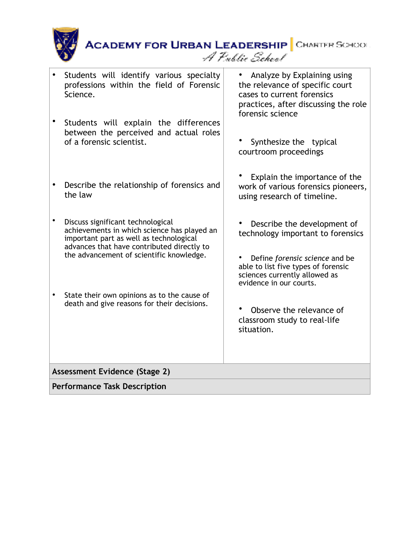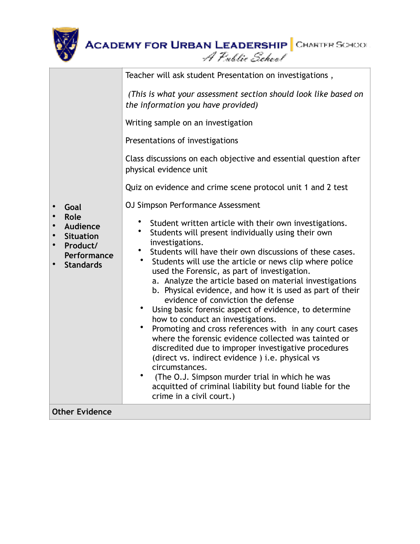

|                                                                                                    | <b>ACADEMY FOR URBAN LEADERSHIP</b> CHARTER SCHOOL<br>A Public School                                                                                                                                                                                                                                                                                                                                                                                                                                                                                                                                                                                                                                                                                                                                                                                                                                                                                                                                                                                                                                                                                                                                                                                                                                                                                                                                          |
|----------------------------------------------------------------------------------------------------|----------------------------------------------------------------------------------------------------------------------------------------------------------------------------------------------------------------------------------------------------------------------------------------------------------------------------------------------------------------------------------------------------------------------------------------------------------------------------------------------------------------------------------------------------------------------------------------------------------------------------------------------------------------------------------------------------------------------------------------------------------------------------------------------------------------------------------------------------------------------------------------------------------------------------------------------------------------------------------------------------------------------------------------------------------------------------------------------------------------------------------------------------------------------------------------------------------------------------------------------------------------------------------------------------------------------------------------------------------------------------------------------------------------|
| Goal<br><b>Role</b><br>Audience<br><b>Situation</b><br>Product/<br>Performance<br><b>Standards</b> | Teacher will ask student Presentation on investigations,<br>(This is what your assessment section should look like based on<br>the information you have provided)<br>Writing sample on an investigation<br>Presentations of investigations<br>Class discussions on each objective and essential question after<br>physical evidence unit<br>Quiz on evidence and crime scene protocol unit 1 and 2 test<br>OJ Simpson Performance Assessment<br>Student written article with their own investigations.<br>Students will present individually using their own<br>investigations.<br>Students will have their own discussions of these cases.<br>$\bullet$<br>Students will use the article or news clip where police<br>used the Forensic, as part of investigation.<br>a. Analyze the article based on material investigations<br>b. Physical evidence, and how it is used as part of their<br>evidence of conviction the defense<br>Using basic forensic aspect of evidence, to determine<br>٠<br>how to conduct an investigations.<br>Promoting and cross references with in any court cases<br>where the forensic evidence collected was tainted or<br>discredited due to improper investigative procedures<br>(direct vs. indirect evidence) i.e. physical vs<br>circumstances.<br>$\bullet$<br>(The O.J. Simpson murder trial in which he was<br>acquitted of criminal liability but found liable for the |
| <b>Other Evidence</b>                                                                              | crime in a civil court.)                                                                                                                                                                                                                                                                                                                                                                                                                                                                                                                                                                                                                                                                                                                                                                                                                                                                                                                                                                                                                                                                                                                                                                                                                                                                                                                                                                                       |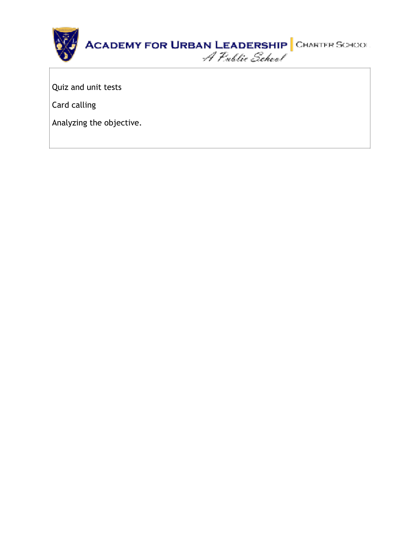

Quiz and unit tests

Card calling

Analyzing the objective.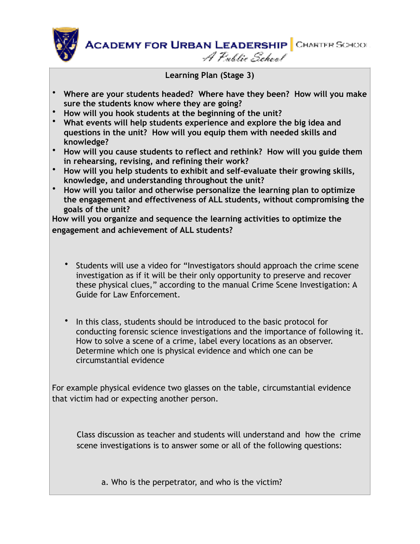

**Learning Plan (Stage 3)** 

- **Where are your students headed? Where have they been? How will you make sure the students know where they are going?**
- **How will you hook students at the beginning of the unit?**
- **What events will help students experience and explore the big idea and questions in the unit? How will you equip them with needed skills and knowledge?**
- **How will you cause students to reflect and rethink? How will you guide them in rehearsing, revising, and refining their work?**
- **How will you help students to exhibit and self-evaluate their growing skills, knowledge, and understanding throughout the unit?**
- **How will you tailor and otherwise personalize the learning plan to optimize the engagement and effectiveness of ALL students, without compromising the goals of the unit?**

**How will you organize and sequence the learning activities to optimize the engagement and achievement of ALL students?** 

- Students will use a video for "Investigators should approach the crime scene investigation as if it will be their only opportunity to preserve and recover these physical clues," according to the manual Crime Scene Investigation: A Guide for Law Enforcement.
- In this class, students should be introduced to the basic protocol for conducting forensic science investigations and the importance of following it. How to solve a scene of a crime, label every locations as an observer. Determine which one is physical evidence and which one can be circumstantial evidence

For example physical evidence two glasses on the table, circumstantial evidence that victim had or expecting another person.

Class discussion as teacher and students will understand and how the crime scene investigations is to answer some or all of the following questions:

a. Who is the perpetrator, and who is the victim?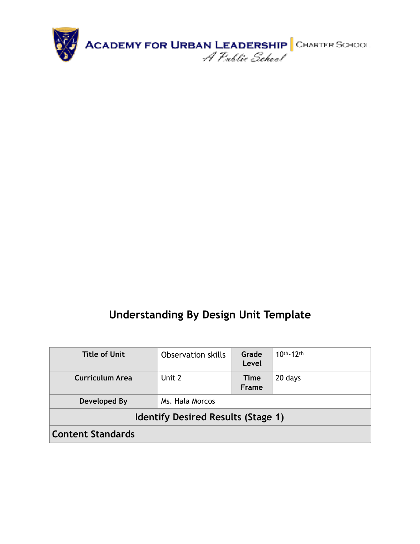

| Title of Unit            | <b>Observation skills</b>                 | Grade<br>Level | $10th-12th$ |
|--------------------------|-------------------------------------------|----------------|-------------|
| Curriculum Area          | Unit 2                                    | Time<br>Frame  | 20 days     |
| Developed By             | Ms. Hala Morcos                           |                |             |
|                          | <b>Identify Desired Results (Stage 1)</b> |                |             |
| <b>Content Standards</b> |                                           |                |             |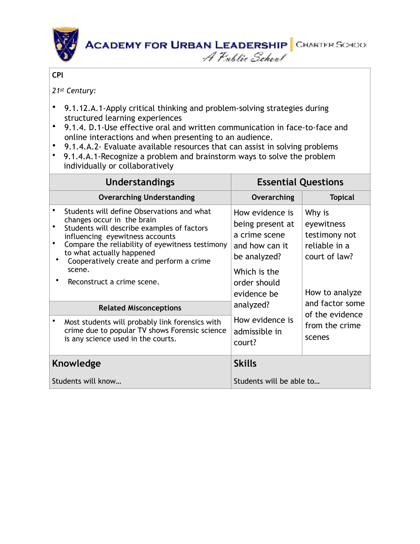

#### **CPI**

*21st Century:*

- 9.1.12.A.1-Apply critical thinking and problem-solving strategies during structured learning experiences
- 9.1.4. D.1-Use effective oral and written communication in face-to-face and online interactions and when presenting to an audience.
- 9.1.4.A.2- Evaluate available resources that can assist in solving problems
- 9.1.4.A.1-Recognize a problem and brainstorm ways to solve the problem individually or collaboratively

| <b>Understandings</b>                                                                                                                                                                                                                                                                                                         | <b>Essential Questions</b>                                                                                                            |                                                                                           |  |
|-------------------------------------------------------------------------------------------------------------------------------------------------------------------------------------------------------------------------------------------------------------------------------------------------------------------------------|---------------------------------------------------------------------------------------------------------------------------------------|-------------------------------------------------------------------------------------------|--|
| <b>Overarching Understanding</b>                                                                                                                                                                                                                                                                                              | Overarching                                                                                                                           | <b>Topical</b>                                                                            |  |
| Students will define Observations and what<br>changes occur in the brain<br>Students will describe examples of factors<br>influencing eyewitness accounts<br>Compare the reliability of eyewitness testimony<br>to what actually happened<br>Cooperatively create and perform a crime<br>scene.<br>Reconstruct a crime scene. | How evidence is<br>being present at<br>a crime scene<br>and how can it<br>be analyzed?<br>Which is the<br>order should<br>evidence be | Why is<br>eyewitness<br>testimony not<br>reliable in a<br>court of law?<br>How to analyze |  |
| <b>Related Misconceptions</b>                                                                                                                                                                                                                                                                                                 | analyzed?<br>How evidence is<br>admissible in<br>court?                                                                               | and factor some<br>of the evidence<br>from the crime<br>scenes                            |  |
| Most students will probably link forensics with<br>crime due to popular TV shows Forensic science<br>is any science used in the courts.                                                                                                                                                                                       |                                                                                                                                       |                                                                                           |  |
| Knowledge                                                                                                                                                                                                                                                                                                                     | <b>Skills</b>                                                                                                                         |                                                                                           |  |
| Students will know                                                                                                                                                                                                                                                                                                            | Students will be able to                                                                                                              |                                                                                           |  |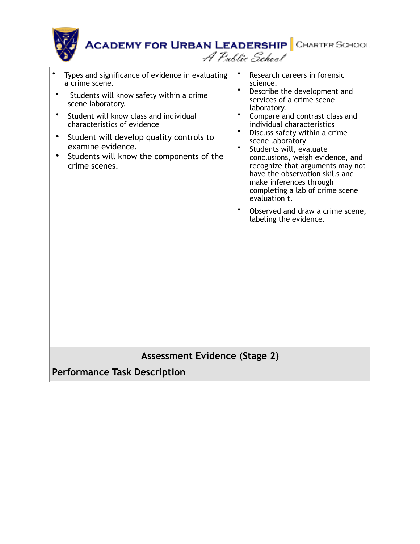| <b>ACADEMY FOR URBAN LEADERSHIP</b> CHARTER SCHOOL                 | A Public School                                                               |
|--------------------------------------------------------------------|-------------------------------------------------------------------------------|
| Types and significance of evidence in evaluating<br>a crime scene. | Research careers in forensic<br>science.                                      |
| Students will know safety within a crime<br>scene laboratory.      | Describe the development and<br>٠<br>services of a crime scene<br>laboratory. |

- Student will know class and individual characteristics of evidence
- Student will develop quality controls to examine evidence.
- Students will know the components of the crime scenes.
- Compare and contrast class and individual characteristics
- Discuss safety within a crime scene laboratory
- Students will, evaluate conclusions, weigh evidence, and recognize that arguments may not have the observation skills and make inferences through completing a lab of crime scene evaluation t.
- Observed and draw a crime scene, labeling the evidence.

### **Assessment Evidence (Stage 2)**

**Performance Task Description**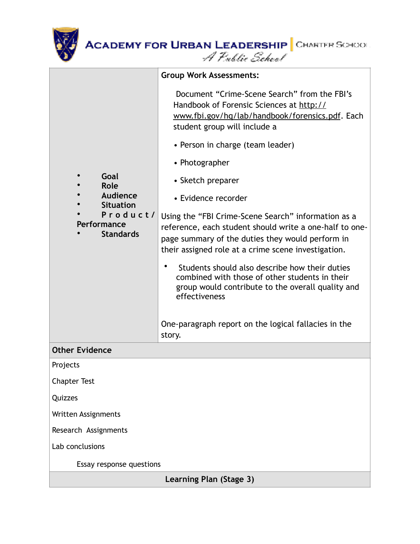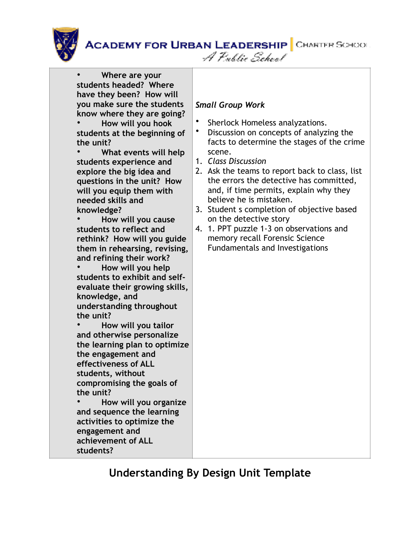A Public School



• **Where are your students headed? Where have they been? How will you make sure the students know where they are going?** 

• **How will you hook students at the beginning of the unit?** 

• **What events will help students experience and explore the big idea and questions in the unit? How will you equip them with needed skills and knowledge?** 

• **How will you cause students to reflect and rethink? How will you guide them in rehearsing, revising, and refining their work?** 

• **How will you help students to exhibit and selfevaluate their growing skills, knowledge, and understanding throughout the unit?** 

• **How will you tailor and otherwise personalize the learning plan to optimize the engagement and effectiveness of ALL students, without compromising the goals of the unit?** 

• **How will you organize and sequence the learning activities to optimize the engagement and achievement of ALL students?**

#### *Small Group Work*

- Sherlock Homeless analyzations.
- Discussion on concepts of analyzing the facts to determine the stages of the crime scene.
- 1. *Class Discussion*
- 2. Ask the teams to report back to class, list the errors the detective has committed, and, if time permits, explain why they believe he is mistaken.
- 3. Student s completion of objective based on the detective story
- 4. 1. PPT puzzle 1-3 on observations and memory recall Forensic Science Fundamentals and Investigations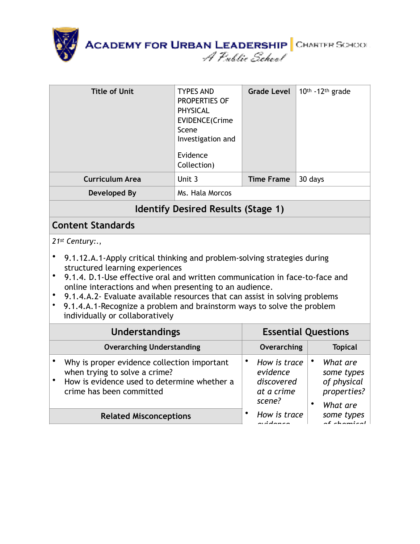

| <b>Title of Unit</b>                                                                                                                                                                                                                                                                                                                                                                                                                                                                                | <b>TYPES AND</b><br><b>PROPERTIES OF</b><br><b>PHYSICAL</b><br>EVIDENCE(Crime<br>Scene<br>Investigation and<br>Evidence<br>Collection) | <b>Grade Level</b> | 10th -12th grade |  |
|-----------------------------------------------------------------------------------------------------------------------------------------------------------------------------------------------------------------------------------------------------------------------------------------------------------------------------------------------------------------------------------------------------------------------------------------------------------------------------------------------------|----------------------------------------------------------------------------------------------------------------------------------------|--------------------|------------------|--|
| <b>Curriculum Area</b>                                                                                                                                                                                                                                                                                                                                                                                                                                                                              | Unit 3                                                                                                                                 | <b>Time Frame</b>  | 30 days          |  |
| <b>Developed By</b>                                                                                                                                                                                                                                                                                                                                                                                                                                                                                 | Ms. Hala Morcos                                                                                                                        |                    |                  |  |
|                                                                                                                                                                                                                                                                                                                                                                                                                                                                                                     | <b>Identify Desired Results (Stage 1)</b>                                                                                              |                    |                  |  |
| <b>Content Standards</b>                                                                                                                                                                                                                                                                                                                                                                                                                                                                            |                                                                                                                                        |                    |                  |  |
| 21st Century:.,<br>9.1.12.A.1-Apply critical thinking and problem-solving strategies during<br>structured learning experiences<br>9.1.4. D.1-Use effective oral and written communication in face-to-face and<br>$\bullet$<br>online interactions and when presenting to an audience.<br>$\bullet$<br>9.1.4.A.2- Evaluate available resources that can assist in solving problems<br>9.1.4.A.1-Recognize a problem and brainstorm ways to solve the problem<br>٠<br>individually or collaboratively |                                                                                                                                        |                    |                  |  |
| <b>Understandings</b><br><b>Essential Questions</b>                                                                                                                                                                                                                                                                                                                                                                                                                                                 |                                                                                                                                        |                    |                  |  |
| <b>Overarching Understanding</b>                                                                                                                                                                                                                                                                                                                                                                                                                                                                    |                                                                                                                                        | Overarching        | <b>Topical</b>   |  |
| $\bullet$<br>$\bullet$<br>Why is proper evidence collection important<br>How is trace<br>What are<br>when trying to solve a crime?<br>evidence<br>some types<br>How is evidence used to determine whether a<br>discovered<br>of physical<br>properties?<br>crime has been committed<br>at a crime<br>scene?<br>$\bullet$<br>What are                                                                                                                                                                |                                                                                                                                        |                    |                  |  |

**Related Misconceptions**

*some types of chemical* 

• *How is trace evidence*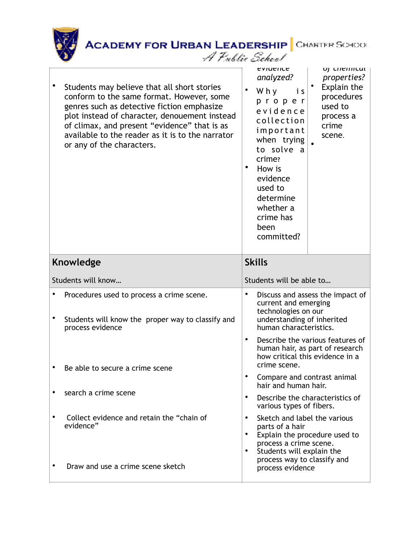| ACADEMY FOR URBAN LEADERSHIP CHARTER SCHOOL |  |
|---------------------------------------------|--|
| A Public School                             |  |

| Students may believe that all short stories<br>conform to the same format. However, some<br>genres such as detective fiction emphasize<br>plot instead of character, denouement instead<br>of climax, and present "evidence" that is as<br>available to the reader as it is to the narrator<br>or any of the characters. |                                     | <b>EVILIEIILE</b><br>analyzed?<br>Why<br>is<br>proper<br>evidence<br>collection<br>important<br>when trying<br>to solve a<br>crime?<br>How is<br>evidence<br>used to<br>determine<br>whether a<br>crime has<br>been<br>committed? | UJ CHEHHCUL<br>properties?<br>Explain the<br>procedures<br>used to<br>process a<br>crime<br>scene.     |
|--------------------------------------------------------------------------------------------------------------------------------------------------------------------------------------------------------------------------------------------------------------------------------------------------------------------------|-------------------------------------|-----------------------------------------------------------------------------------------------------------------------------------------------------------------------------------------------------------------------------------|--------------------------------------------------------------------------------------------------------|
| <b>Knowledge</b>                                                                                                                                                                                                                                                                                                         |                                     | <b>Skills</b>                                                                                                                                                                                                                     |                                                                                                        |
|                                                                                                                                                                                                                                                                                                                          |                                     |                                                                                                                                                                                                                                   |                                                                                                        |
| Students will know                                                                                                                                                                                                                                                                                                       |                                     | Students will be able to                                                                                                                                                                                                          |                                                                                                        |
| Procedures used to process a crime scene.<br>Students will know the proper way to classify and                                                                                                                                                                                                                           | $\bullet$                           | current and emerging<br>technologies on our<br>understanding of inherited<br>human characteristics.                                                                                                                               | Discuss and assess the impact of                                                                       |
| process evidence<br>Be able to secure a crime scene                                                                                                                                                                                                                                                                      | $\bullet$                           | crime scene.                                                                                                                                                                                                                      | Describe the various features of<br>human hair, as part of research<br>how critical this evidence in a |
|                                                                                                                                                                                                                                                                                                                          | $\bullet$                           | Compare and contrast animal<br>hair and human hair.                                                                                                                                                                               |                                                                                                        |
| search a crime scene                                                                                                                                                                                                                                                                                                     | $\bullet$                           | various types of fibers.                                                                                                                                                                                                          | Describe the characteristics of                                                                        |
| Collect evidence and retain the "chain of<br>evidence"                                                                                                                                                                                                                                                                   | $\bullet$<br>$\bullet$<br>$\bullet$ | Sketch and label the various<br>parts of a hair<br>process a crime scene.<br>Students will explain the<br>process way to classify and                                                                                             | Explain the procedure used to                                                                          |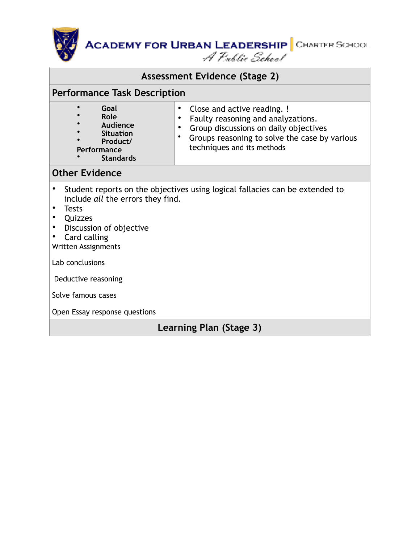**ACADEMY FOR URBAN LEADERSHIP** CHARTER SCHOOL<br>*A Public School* 

#### **Assessment Evidence (Stage 2)**

#### **Performance Task Description**

#### **Other Evidence**

- Student reports on the objectives using logical fallacies can be extended to include *all* the errors they find.
- Tests
- Quizzes
- Discussion of objective
- Card calling

Written Assignments

Lab conclusions

Deductive reasoning

Solve famous cases

Open Essay response questions

**Learning Plan (Stage 3)**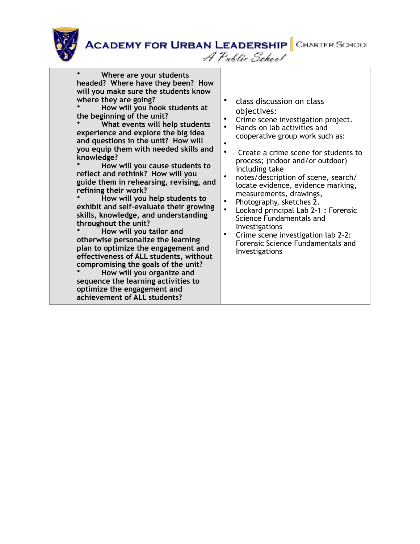A Public School



• **Where are your students headed? Where have they been? How will you make sure the students know where they are going?** 

• **How will you hook students at the beginning of the unit?** 

• **What events will help students experience and explore the big idea and questions in the unit? How will you equip them with needed skills and knowledge?** 

• **How will you cause students to reflect and rethink? How will you guide them in rehearsing, revising, and refining their work?** 

• **How will you help students to exhibit and self-evaluate their growing skills, knowledge, and understanding throughout the unit?** 

• **How will you tailor and otherwise personalize the learning plan to optimize the engagement and effectiveness of ALL students, without compromising the goals of the unit?** 

• **How will you organize and sequence the learning activities to optimize the engagement and achievement of ALL students?**

- class discussion on class objectives:
- Crime scene investigation project.
- Hands-on lab activities and cooperative group work such as:
	-
- • Create a crime scene for students to process; (indoor and/or outdoor) including take
- notes/description of scene, search/ locate evidence, evidence marking, measurements, drawings,
- Photography, sketches 2.
- Lockard principal Lab 2-1 : Forensic Science Fundamentals and Investigations
- Crime scene investigation lab 2-2: Forensic Science Fundamentals and Investigations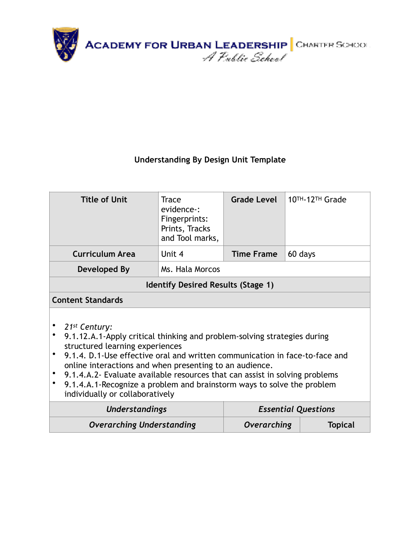

| <b>Title of Unit</b>                                                                                                                                                                                                                                                                                                                                                                                                                                                                                          | <b>Grade Level</b><br><b>Trace</b><br>evidence-:<br>Fingerprints:<br>Prints, Tracks<br>and Tool marks, |  | 10TH-12TH Grade            |  |  |  |
|---------------------------------------------------------------------------------------------------------------------------------------------------------------------------------------------------------------------------------------------------------------------------------------------------------------------------------------------------------------------------------------------------------------------------------------------------------------------------------------------------------------|--------------------------------------------------------------------------------------------------------|--|----------------------------|--|--|--|
| <b>Curriculum Area</b>                                                                                                                                                                                                                                                                                                                                                                                                                                                                                        | Unit 4<br><b>Time Frame</b><br>60 days                                                                 |  |                            |  |  |  |
| Developed By                                                                                                                                                                                                                                                                                                                                                                                                                                                                                                  | Ms. Hala Morcos                                                                                        |  |                            |  |  |  |
| <b>Identify Desired Results (Stage 1)</b>                                                                                                                                                                                                                                                                                                                                                                                                                                                                     |                                                                                                        |  |                            |  |  |  |
| <b>Content Standards</b>                                                                                                                                                                                                                                                                                                                                                                                                                                                                                      |                                                                                                        |  |                            |  |  |  |
| 21 <sup>st</sup> Century:<br>$\bullet$<br>9.1.12.A.1-Apply critical thinking and problem-solving strategies during<br>structured learning experiences<br>9.1.4. D.1-Use effective oral and written communication in face-to-face and<br>$\bullet$<br>online interactions and when presenting to an audience.<br>9.1.4.A.2- Evaluate available resources that can assist in solving problems<br>9.1.4.A.1-Recognize a problem and brainstorm ways to solve the problem<br>٠<br>individually or collaboratively |                                                                                                        |  |                            |  |  |  |
| Understandings                                                                                                                                                                                                                                                                                                                                                                                                                                                                                                |                                                                                                        |  | <b>Essential Questions</b> |  |  |  |
| <b>Overarching Understanding</b><br>Overarching<br><b>Topical</b>                                                                                                                                                                                                                                                                                                                                                                                                                                             |                                                                                                        |  |                            |  |  |  |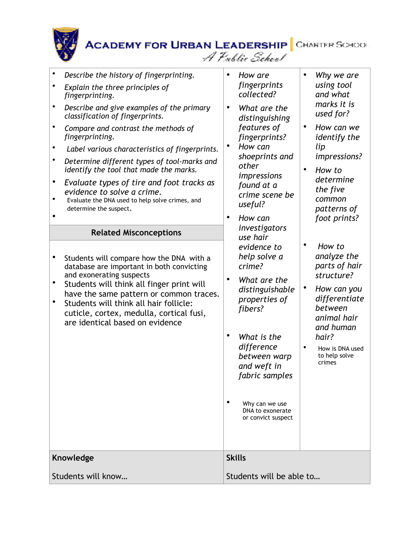| $\bullet$<br>Describe the history of fingerprinting.<br>Explain the three principles of<br>fingerprinting.<br>$\bullet$<br>Describe and give examples of the primary<br>classification of fingerprints.<br>Compare and contrast the methods of<br>fingerprinting.<br>Label various characteristics of fingerprints.<br>$\bullet$<br>Determine different types of tool-marks and<br>identify the tool that made the marks.<br>Evaluate types of tire and foot tracks as<br>evidence to solve a crime.<br>Evaluate the DNA used to help solve crimes, and<br>determine the suspect.<br><b>Related Misconceptions</b><br>Students will compare how the DNA with a<br>database are important in both convicting<br>and exonerating suspects<br>Students will think all finger print will<br>have the same pattern or common traces.<br>Students will think all hair follicle:<br>cuticle, cortex, medulla, cortical fusi,<br>are identical based on evidence | $\bullet$<br>How are<br>Why we are<br>using tool<br>fingerprints<br>collected?<br>and what<br>marks it is<br>$\bullet$<br>What are the<br>used for?<br>distinguishing<br>features of<br>How can we<br>fingerprints?<br>identify the<br>How can<br>lip<br>٠<br>shoeprints and<br>impressions?<br>other<br>$\bullet$<br>How to<br>impressions<br>determine<br>found at a<br>the five<br>crime scene be<br>common<br>useful?<br>patterns of<br>foot prints?<br>$\bullet$<br>How can<br>investigators<br>use hair<br>How to<br>evidence to<br>analyze the<br>help solve a<br>parts of hair<br>crime?<br>structure?<br>What are the<br>$\bullet$<br>٠<br>How can you<br>distinguishable<br>differentiate<br>properties of<br>between<br>fibers?<br>animal hair<br>and human<br>٠<br>What is the<br>hair?<br>difference<br>How is DNA used<br>to help solve<br>between warp<br>crimes<br>and weft in<br>fabric samples<br>Why can we use<br>DNA to exonerate<br>or convict suspect |
|----------------------------------------------------------------------------------------------------------------------------------------------------------------------------------------------------------------------------------------------------------------------------------------------------------------------------------------------------------------------------------------------------------------------------------------------------------------------------------------------------------------------------------------------------------------------------------------------------------------------------------------------------------------------------------------------------------------------------------------------------------------------------------------------------------------------------------------------------------------------------------------------------------------------------------------------------------|------------------------------------------------------------------------------------------------------------------------------------------------------------------------------------------------------------------------------------------------------------------------------------------------------------------------------------------------------------------------------------------------------------------------------------------------------------------------------------------------------------------------------------------------------------------------------------------------------------------------------------------------------------------------------------------------------------------------------------------------------------------------------------------------------------------------------------------------------------------------------------------------------------------------------------------------------------------------------|
| Knowledge                                                                                                                                                                                                                                                                                                                                                                                                                                                                                                                                                                                                                                                                                                                                                                                                                                                                                                                                                | <b>Skills</b>                                                                                                                                                                                                                                                                                                                                                                                                                                                                                                                                                                                                                                                                                                                                                                                                                                                                                                                                                                |
| Students will know                                                                                                                                                                                                                                                                                                                                                                                                                                                                                                                                                                                                                                                                                                                                                                                                                                                                                                                                       | Students will be able to                                                                                                                                                                                                                                                                                                                                                                                                                                                                                                                                                                                                                                                                                                                                                                                                                                                                                                                                                     |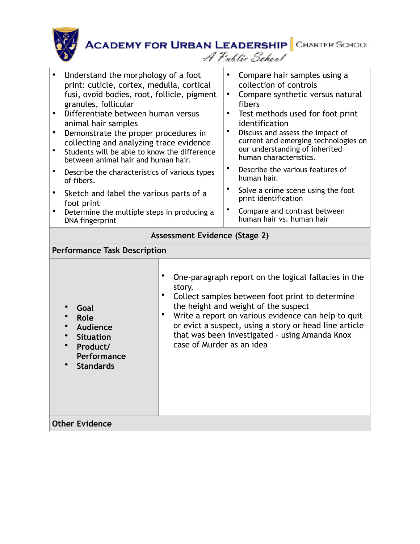

| Understand the morphology of a foot<br>print: cuticle, cortex, medulla, cortical<br>fusi, ovoid bodies, root, follicle, pigment<br>granules, follicular<br>Differentiate between human versus<br>animal hair samples<br>Demonstrate the proper procedures in<br>collecting and analyzing trace evidence<br>Students will be able to know the difference<br>between animal hair and human hair.<br>Describe the characteristics of various types<br>of fibers.<br>Sketch and label the various parts of a<br>foot print<br>Determine the multiple steps in producing a<br>DNA fingerprint | $\bullet$<br>٠<br>$\bullet$ | Compare hair samples using a<br>collection of controls<br>Compare synthetic versus natural<br>fibers<br>Test methods used for foot print<br>identification<br>Discuss and assess the impact of<br>current and emerging technologies on<br>our understanding of inherited<br>human characteristics.<br>Describe the various features of<br>human hair.<br>Solve a crime scene using the foot<br>print identification<br>Compare and contrast between<br>human hair vs. human hair |
|------------------------------------------------------------------------------------------------------------------------------------------------------------------------------------------------------------------------------------------------------------------------------------------------------------------------------------------------------------------------------------------------------------------------------------------------------------------------------------------------------------------------------------------------------------------------------------------|-----------------------------|----------------------------------------------------------------------------------------------------------------------------------------------------------------------------------------------------------------------------------------------------------------------------------------------------------------------------------------------------------------------------------------------------------------------------------------------------------------------------------|
| Assessment Evidence (Stage 2)                                                                                                                                                                                                                                                                                                                                                                                                                                                                                                                                                            |                             |                                                                                                                                                                                                                                                                                                                                                                                                                                                                                  |
| <b>Performance Task Description</b>                                                                                                                                                                                                                                                                                                                                                                                                                                                                                                                                                      |                             |                                                                                                                                                                                                                                                                                                                                                                                                                                                                                  |
|                                                                                                                                                                                                                                                                                                                                                                                                                                                                                                                                                                                          |                             |                                                                                                                                                                                                                                                                                                                                                                                                                                                                                  |

|        |  | One-paragraph report on the logical fallacies in the |
|--------|--|------------------------------------------------------|
| story. |  |                                                      |

the height and weight of the suspect

- **Goal**
- **Role**
- **Audience**
- **Situation**
- **Product/ Performance**
- **Standards**
- Collect samples between foot print to determine
- Write a report on various evidence can help to quit or evict a suspect, using a story or head line article that was been investigated – using Amanda Knox case of Murder as an idea

**Other Evidence**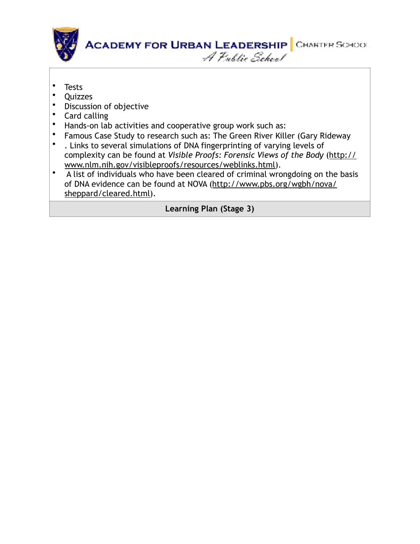

- Tests
- Quizzes
- Discussion of objective
- Card calling
- Hands-on lab activities and cooperative group work such as:
- Famous Case Study to research such as: The Green River Killer (Gary Rideway<br>• I links to several simulations of DNA fingerprinting of varving levels of
- . Links to several simulations of DNA fingerprinting of varying levels of complexity can be found at *Visible Proofs: Forensic Views of the Body* (http:// www.nlm.nih.gov/visibleproofs/resources/weblinks.html).
- A list of individuals who have been cleared of criminal wrongdoing on the basis of DNA evidence can be found at NOVA (http://www.pbs.org/wgbh/nova/ sheppard/cleared.html).

**Learning Plan (Stage 3)**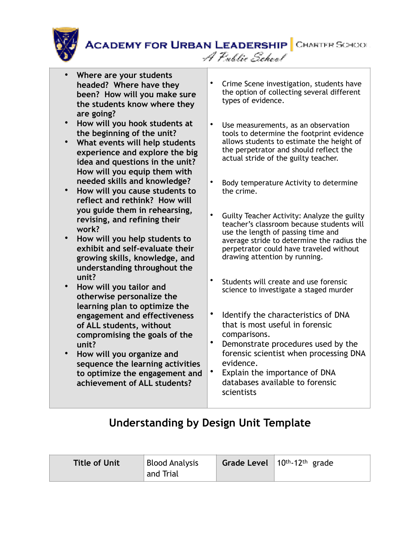

A Public School

- **Where are your students headed? Where have they been? How will you make sure the students know where they are going?**
- **How will you hook students at the beginning of the unit?**
- **What events will help students experience and explore the big idea and questions in the unit? How will you equip them with needed skills and knowledge?**
- **How will you cause students to reflect and rethink? How will you guide them in rehearsing, revising, and refining their work?**
- **How will you help students to exhibit and self-evaluate their growing skills, knowledge, and understanding throughout the unit?**
- **How will you tailor and otherwise personalize the learning plan to optimize the engagement and effectiveness of ALL students, without compromising the goals of the unit?**
- **How will you organize and sequence the learning activities to optimize the engagement and achievement of ALL students?**
- Crime Scene investigation, students have the option of collecting several different types of evidence.
- Use measurements, as an observation tools to determine the footprint evidence allows students to estimate the height of the perpetrator and should reflect the actual stride of the guilty teacher.
- Body temperature Activity to determine the crime.
- Guilty Teacher Activity: Analyze the guilty teacher's classroom because students will use the length of passing time and average stride to determine the radius the perpetrator could have traveled without drawing attention by running.
- Students will create and use forensic science to investigate a staged murder
- Identify the characteristics of DNA that is most useful in forensic comparisons.
- Demonstrate procedures used by the forensic scientist when processing DNA evidence.
- Explain the importance of DNA databases available to forensic scientists

| and Trial | <b>Title of Unit</b> | <b>Blood Analysis</b> |  | Grade Level $10th-12th$ grade |
|-----------|----------------------|-----------------------|--|-------------------------------|
|-----------|----------------------|-----------------------|--|-------------------------------|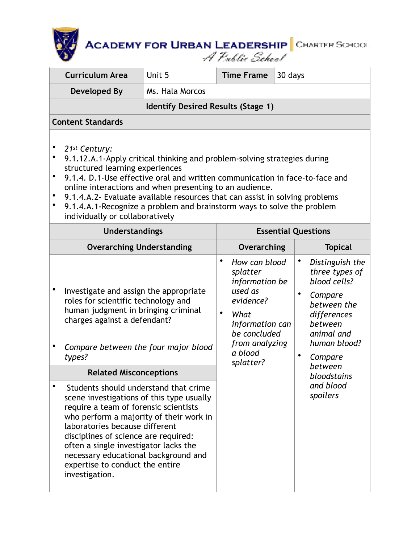| <b>Curriculum Area</b>                                                                                                                                                                                                                                                                                                                                                                                                                                                                                                                                                                                                                              | Unit 5<br><b>Time Frame</b><br>30 days |                        |                                                                                                                                                          |  |                                     |                                                                                                                                                                                                   |
|-----------------------------------------------------------------------------------------------------------------------------------------------------------------------------------------------------------------------------------------------------------------------------------------------------------------------------------------------------------------------------------------------------------------------------------------------------------------------------------------------------------------------------------------------------------------------------------------------------------------------------------------------------|----------------------------------------|------------------------|----------------------------------------------------------------------------------------------------------------------------------------------------------|--|-------------------------------------|---------------------------------------------------------------------------------------------------------------------------------------------------------------------------------------------------|
| <b>Developed By</b>                                                                                                                                                                                                                                                                                                                                                                                                                                                                                                                                                                                                                                 | Ms. Hala Morcos                        |                        |                                                                                                                                                          |  |                                     |                                                                                                                                                                                                   |
| <b>Identify Desired Results (Stage 1)</b>                                                                                                                                                                                                                                                                                                                                                                                                                                                                                                                                                                                                           |                                        |                        |                                                                                                                                                          |  |                                     |                                                                                                                                                                                                   |
| <b>Content Standards</b>                                                                                                                                                                                                                                                                                                                                                                                                                                                                                                                                                                                                                            |                                        |                        |                                                                                                                                                          |  |                                     |                                                                                                                                                                                                   |
| ٠<br>21st Century:<br>$\bullet$<br>9.1.12.A.1-Apply critical thinking and problem-solving strategies during<br>structured learning experiences<br>9.1.4. D.1-Use effective oral and written communication in face-to-face and<br>$\bullet$<br>online interactions and when presenting to an audience.<br>9.1.4.A.2- Evaluate available resources that can assist in solving problems<br>٠<br>9.1.4.A.1-Recognize a problem and brainstorm ways to solve the problem<br>individually or collaboratively                                                                                                                                              |                                        |                        |                                                                                                                                                          |  |                                     |                                                                                                                                                                                                   |
| <b>Understandings</b>                                                                                                                                                                                                                                                                                                                                                                                                                                                                                                                                                                                                                               |                                        |                        |                                                                                                                                                          |  |                                     | <b>Essential Questions</b>                                                                                                                                                                        |
| <b>Overarching Understanding</b>                                                                                                                                                                                                                                                                                                                                                                                                                                                                                                                                                                                                                    |                                        |                        | Overarching                                                                                                                                              |  |                                     | <b>Topical</b>                                                                                                                                                                                    |
| $\bullet$<br>Investigate and assign the appropriate<br>roles for scientific technology and<br>human judgment in bringing criminal<br>charges against a defendant?<br>Compare between the four major blood<br>types?<br><b>Related Misconceptions</b><br>Students should understand that crime<br>٠<br>scene investigations of this type usually<br>require a team of forensic scientists<br>who perform a majority of their work in<br>laboratories because different<br>disciplines of science are required:<br>often a single investigator lacks the<br>necessary educational background and<br>expertise to conduct the entire<br>investigation. |                                        | $\bullet$<br>$\bullet$ | How can blood<br>splatter<br>information be<br>used as<br>evidence?<br>What<br>information can<br>be concluded<br>from analyzing<br>a blood<br>splatter? |  | $\bullet$<br>$\bullet$<br>$\bullet$ | Distinguish the<br>three types of<br>blood cells?<br>Compare<br>between the<br>differences<br>between<br>animal and<br>human blood?<br>Compare<br>between<br>bloodstains<br>and blood<br>spoilers |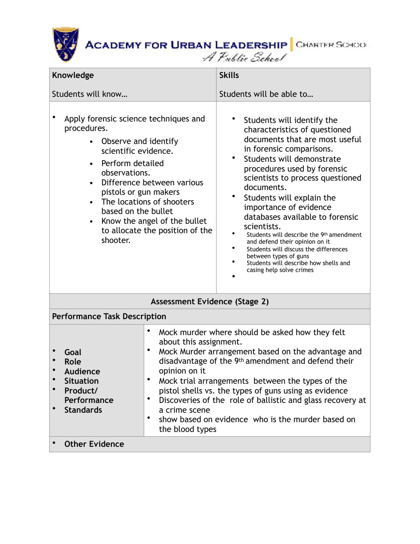

| <b>Knowledge</b>                                                                                                                                                                                                                             |                                                                                                                                                                                                                                                                                                                                                                                                                                                                                                | <b>Skills</b>                                                                                                                                                                                                                                                                                                                                                                                                                                                                                                                                                                           |  |  |  |
|----------------------------------------------------------------------------------------------------------------------------------------------------------------------------------------------------------------------------------------------|------------------------------------------------------------------------------------------------------------------------------------------------------------------------------------------------------------------------------------------------------------------------------------------------------------------------------------------------------------------------------------------------------------------------------------------------------------------------------------------------|-----------------------------------------------------------------------------------------------------------------------------------------------------------------------------------------------------------------------------------------------------------------------------------------------------------------------------------------------------------------------------------------------------------------------------------------------------------------------------------------------------------------------------------------------------------------------------------------|--|--|--|
| Students will know                                                                                                                                                                                                                           |                                                                                                                                                                                                                                                                                                                                                                                                                                                                                                | Students will be able to                                                                                                                                                                                                                                                                                                                                                                                                                                                                                                                                                                |  |  |  |
| Apply forensic science techniques and<br>procedures.<br>Observe and identify<br>scientific evidence.<br>Perform detailed<br>$\bullet$<br>observations.<br>pistols or gun makers<br>$\bullet$<br>based on the bullet<br>$\bullet$<br>shooter. | Difference between various<br>The locations of shooters<br>Know the angel of the bullet<br>to allocate the position of the                                                                                                                                                                                                                                                                                                                                                                     | Students will identify the<br>characteristics of questioned<br>documents that are most useful<br>in forensic comparisons.<br>$\bullet$<br>Students will demonstrate<br>procedures used by forensic<br>scientists to process questioned<br>documents.<br>Students will explain the<br>importance of evidence<br>databases available to forensic<br>scientists.<br>Students will describe the 9th amendment<br>and defend their opinion on it<br>٠<br>Students will discuss the differences<br>between types of guns<br>Students will describe how shells and<br>casing help solve crimes |  |  |  |
| Assessment Evidence (Stage 2)                                                                                                                                                                                                                |                                                                                                                                                                                                                                                                                                                                                                                                                                                                                                |                                                                                                                                                                                                                                                                                                                                                                                                                                                                                                                                                                                         |  |  |  |
| <b>Performance Task Description</b>                                                                                                                                                                                                          |                                                                                                                                                                                                                                                                                                                                                                                                                                                                                                |                                                                                                                                                                                                                                                                                                                                                                                                                                                                                                                                                                                         |  |  |  |
| Goal<br><b>Role</b><br><b>Audience</b><br>$\bullet$<br><b>Situation</b><br>Product/<br>Performance<br>$\bullet$<br><b>Standards</b>                                                                                                          | Mock murder where should be asked how they felt<br>about this assignment.<br>٠<br>Mock Murder arrangement based on the advantage and<br>disadvantage of the 9th amendment and defend their<br>opinion on it<br>٠<br>Mock trial arrangements between the types of the<br>pistol shells vs. the types of guns using as evidence<br>Discoveries of the role of ballistic and glass recovery at<br>٠<br>a crime scene<br>show based on evidence who is the murder based on<br>٠<br>the blood types |                                                                                                                                                                                                                                                                                                                                                                                                                                                                                                                                                                                         |  |  |  |
| <b>Other Evidence</b>                                                                                                                                                                                                                        |                                                                                                                                                                                                                                                                                                                                                                                                                                                                                                |                                                                                                                                                                                                                                                                                                                                                                                                                                                                                                                                                                                         |  |  |  |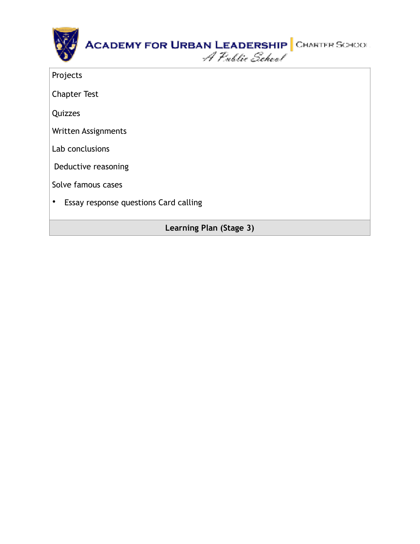|          | ACADEMY FOR URBAN LEADERSHIP CHARTER SCHOOL<br>A Public School |  |
|----------|----------------------------------------------------------------|--|
| Projects |                                                                |  |

Chapter Test

**Quizzes** 

Written Assignments

Lab conclusions

Deductive reasoning

Solve famous cases

• Essay response questions Card calling

**Learning Plan (Stage 3)**